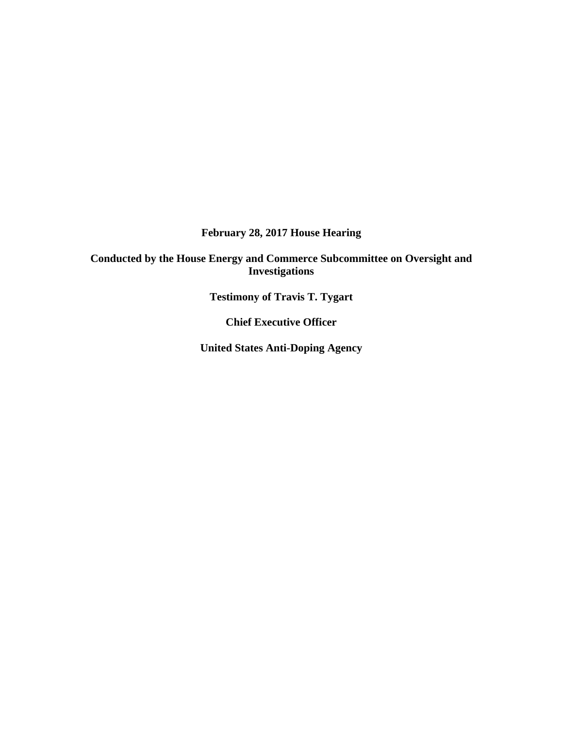**February 28, 2017 House Hearing**

**Conducted by the House Energy and Commerce Subcommittee on Oversight and Investigations**

**Testimony of Travis T. Tygart** 

**Chief Executive Officer**

**United States Anti-Doping Agency**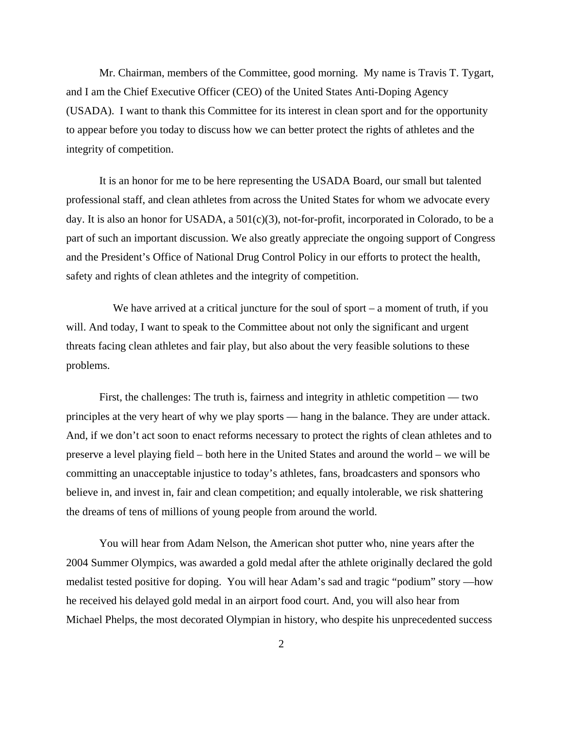Mr. Chairman, members of the Committee, good morning. My name is Travis T. Tygart, and I am the Chief Executive Officer (CEO) of the United States Anti-Doping Agency (USADA). I want to thank this Committee for its interest in clean sport and for the opportunity to appear before you today to discuss how we can better protect the rights of athletes and the integrity of competition.

It is an honor for me to be here representing the USADA Board, our small but talented professional staff, and clean athletes from across the United States for whom we advocate every day. It is also an honor for USADA, a  $501(c)(3)$ , not-for-profit, incorporated in Colorado, to be a part of such an important discussion. We also greatly appreciate the ongoing support of Congress and the President's Office of National Drug Control Policy in our efforts to protect the health, safety and rights of clean athletes and the integrity of competition.

We have arrived at a critical juncture for the soul of sport  $-$  a moment of truth, if you will. And today, I want to speak to the Committee about not only the significant and urgent threats facing clean athletes and fair play, but also about the very feasible solutions to these problems.

First, the challenges: The truth is, fairness and integrity in athletic competition — two principles at the very heart of why we play sports — hang in the balance. They are under attack. And, if we don't act soon to enact reforms necessary to protect the rights of clean athletes and to preserve a level playing field – both here in the United States and around the world – we will be committing an unacceptable injustice to today's athletes, fans, broadcasters and sponsors who believe in, and invest in, fair and clean competition; and equally intolerable, we risk shattering the dreams of tens of millions of young people from around the world.

You will hear from Adam Nelson, the American shot putter who, nine years after the 2004 Summer Olympics, was awarded a gold medal after the athlete originally declared the gold medalist tested positive for doping. You will hear Adam's sad and tragic "podium" story —how he received his delayed gold medal in an airport food court. And, you will also hear from Michael Phelps, the most decorated Olympian in history, who despite his unprecedented success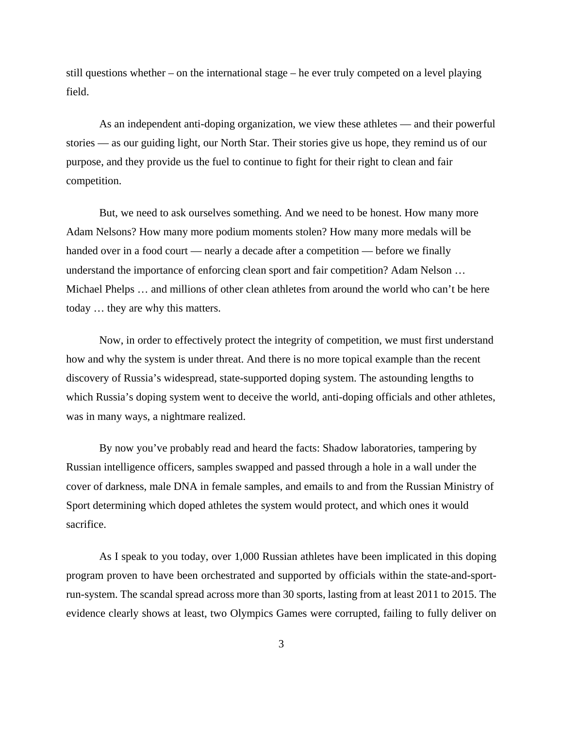still questions whether – on the international stage – he ever truly competed on a level playing field.

As an independent anti-doping organization, we view these athletes — and their powerful stories — as our guiding light, our North Star. Their stories give us hope, they remind us of our purpose, and they provide us the fuel to continue to fight for their right to clean and fair competition.

But, we need to ask ourselves something. And we need to be honest. How many more Adam Nelsons? How many more podium moments stolen? How many more medals will be handed over in a food court — nearly a decade after a competition — before we finally understand the importance of enforcing clean sport and fair competition? Adam Nelson … Michael Phelps … and millions of other clean athletes from around the world who can't be here today … they are why this matters.

Now, in order to effectively protect the integrity of competition, we must first understand how and why the system is under threat. And there is no more topical example than the recent discovery of Russia's widespread, state-supported doping system. The astounding lengths to which Russia's doping system went to deceive the world, anti-doping officials and other athletes, was in many ways, a nightmare realized.

By now you've probably read and heard the facts: Shadow laboratories, tampering by Russian intelligence officers, samples swapped and passed through a hole in a wall under the cover of darkness, male DNA in female samples, and emails to and from the Russian Ministry of Sport determining which doped athletes the system would protect, and which ones it would sacrifice.

As I speak to you today, over 1,000 Russian athletes have been implicated in this doping program proven to have been orchestrated and supported by officials within the state-and-sportrun-system. The scandal spread across more than 30 sports, lasting from at least 2011 to 2015. The evidence clearly shows at least, two Olympics Games were corrupted, failing to fully deliver on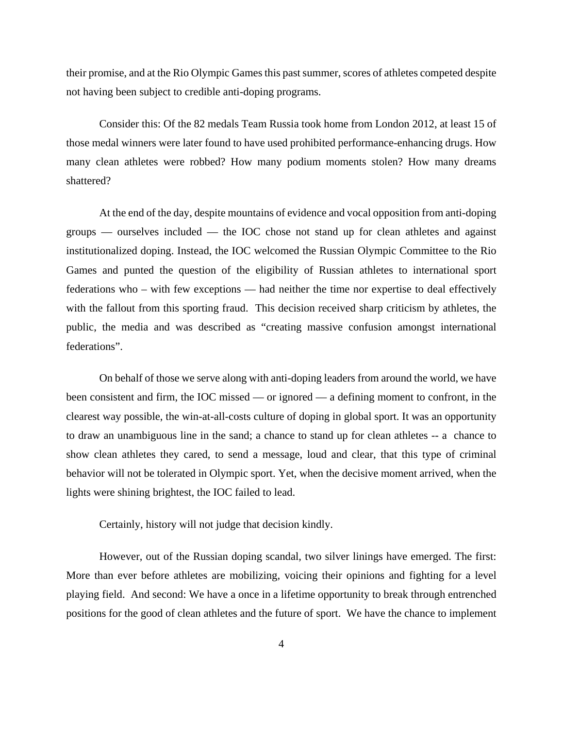their promise, and at the Rio Olympic Games this past summer, scores of athletes competed despite not having been subject to credible anti-doping programs.

Consider this: Of the 82 medals Team Russia took home from London 2012, at least 15 of those medal winners were later found to have used prohibited performance-enhancing drugs. How many clean athletes were robbed? How many podium moments stolen? How many dreams shattered?

At the end of the day, despite mountains of evidence and vocal opposition from anti-doping groups — ourselves included — the IOC chose not stand up for clean athletes and against institutionalized doping. Instead, the IOC welcomed the Russian Olympic Committee to the Rio Games and punted the question of the eligibility of Russian athletes to international sport federations who – with few exceptions — had neither the time nor expertise to deal effectively with the fallout from this sporting fraud. This decision received sharp criticism by athletes, the public, the media and was described as "creating massive confusion amongst international federations".

On behalf of those we serve along with anti-doping leaders from around the world, we have been consistent and firm, the IOC missed — or ignored — a defining moment to confront, in the clearest way possible, the win-at-all-costs culture of doping in global sport. It was an opportunity to draw an unambiguous line in the sand; a chance to stand up for clean athletes -- a chance to show clean athletes they cared, to send a message, loud and clear, that this type of criminal behavior will not be tolerated in Olympic sport. Yet, when the decisive moment arrived, when the lights were shining brightest, the IOC failed to lead.

Certainly, history will not judge that decision kindly.

However, out of the Russian doping scandal, two silver linings have emerged. The first: More than ever before athletes are mobilizing, voicing their opinions and fighting for a level playing field. And second: We have a once in a lifetime opportunity to break through entrenched positions for the good of clean athletes and the future of sport. We have the chance to implement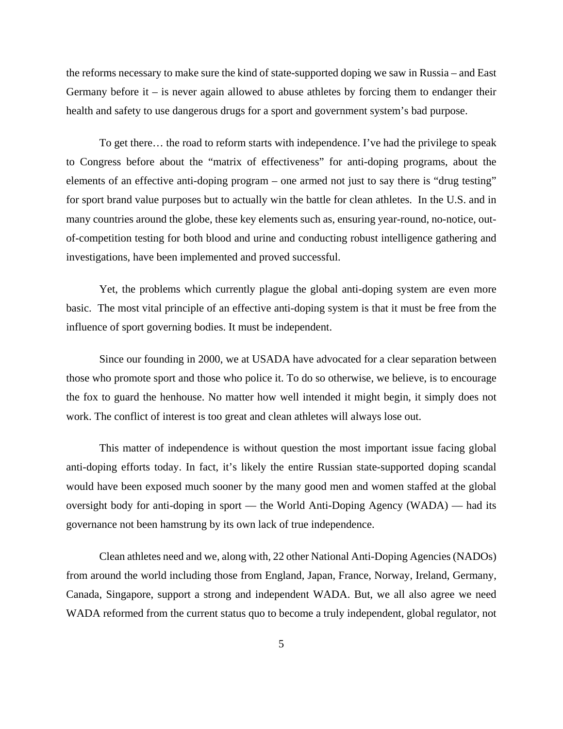the reforms necessary to make sure the kind of state-supported doping we saw in Russia – and East Germany before it – is never again allowed to abuse athletes by forcing them to endanger their health and safety to use dangerous drugs for a sport and government system's bad purpose.

To get there… the road to reform starts with independence. I've had the privilege to speak to Congress before about the "matrix of effectiveness" for anti-doping programs, about the elements of an effective anti-doping program – one armed not just to say there is "drug testing" for sport brand value purposes but to actually win the battle for clean athletes. In the U.S. and in many countries around the globe, these key elements such as, ensuring year-round, no-notice, outof-competition testing for both blood and urine and conducting robust intelligence gathering and investigations, have been implemented and proved successful.

Yet, the problems which currently plague the global anti-doping system are even more basic. The most vital principle of an effective anti-doping system is that it must be free from the influence of sport governing bodies. It must be independent.

Since our founding in 2000, we at USADA have advocated for a clear separation between those who promote sport and those who police it. To do so otherwise, we believe, is to encourage the fox to guard the henhouse. No matter how well intended it might begin, it simply does not work. The conflict of interest is too great and clean athletes will always lose out.

This matter of independence is without question the most important issue facing global anti-doping efforts today. In fact, it's likely the entire Russian state-supported doping scandal would have been exposed much sooner by the many good men and women staffed at the global oversight body for anti-doping in sport — the World Anti-Doping Agency (WADA) — had its governance not been hamstrung by its own lack of true independence.

Clean athletes need and we, along with, 22 other National Anti-Doping Agencies (NADOs) from around the world including those from England, Japan, France, Norway, Ireland, Germany, Canada, Singapore, support a strong and independent WADA. But, we all also agree we need WADA reformed from the current status quo to become a truly independent, global regulator, not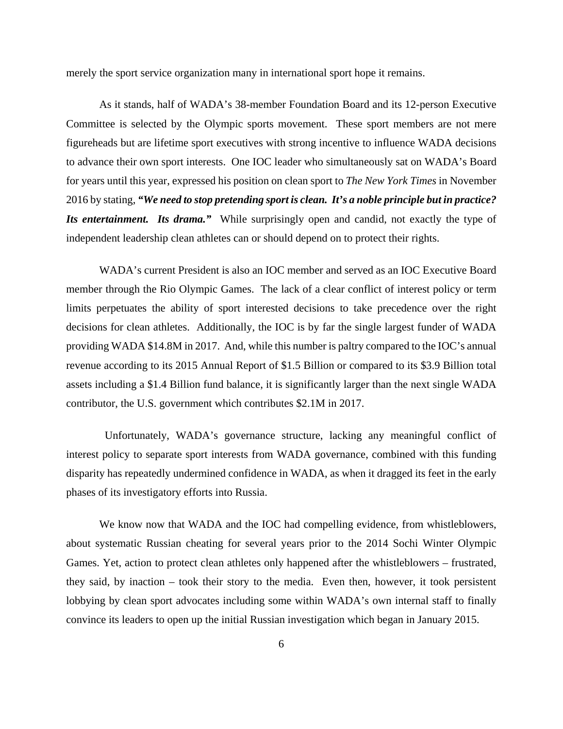merely the sport service organization many in international sport hope it remains.

As it stands, half of WADA's 38-member Foundation Board and its 12-person Executive Committee is selected by the Olympic sports movement. These sport members are not mere figureheads but are lifetime sport executives with strong incentive to influence WADA decisions to advance their own sport interests. One IOC leader who simultaneously sat on WADA's Board for years until this year, expressed his position on clean sport to *The New York Times* in November 2016 by stating, *"We need to stop pretending sport is clean. It's a noble principle but in practice? Its entertainment. Its drama."* While surprisingly open and candid, not exactly the type of independent leadership clean athletes can or should depend on to protect their rights.

WADA's current President is also an IOC member and served as an IOC Executive Board member through the Rio Olympic Games. The lack of a clear conflict of interest policy or term limits perpetuates the ability of sport interested decisions to take precedence over the right decisions for clean athletes. Additionally, the IOC is by far the single largest funder of WADA providing WADA \$14.8M in 2017. And, while this number is paltry compared to the IOC's annual revenue according to its 2015 Annual Report of \$1.5 Billion or compared to its \$3.9 Billion total assets including a \$1.4 Billion fund balance, it is significantly larger than the next single WADA contributor, the U.S. government which contributes \$2.1M in 2017.

 Unfortunately, WADA's governance structure, lacking any meaningful conflict of interest policy to separate sport interests from WADA governance, combined with this funding disparity has repeatedly undermined confidence in WADA, as when it dragged its feet in the early phases of its investigatory efforts into Russia.

We know now that WADA and the IOC had compelling evidence, from whistleblowers, about systematic Russian cheating for several years prior to the 2014 Sochi Winter Olympic Games. Yet, action to protect clean athletes only happened after the whistleblowers – frustrated, they said, by inaction – took their story to the media. Even then, however, it took persistent lobbying by clean sport advocates including some within WADA's own internal staff to finally convince its leaders to open up the initial Russian investigation which began in January 2015.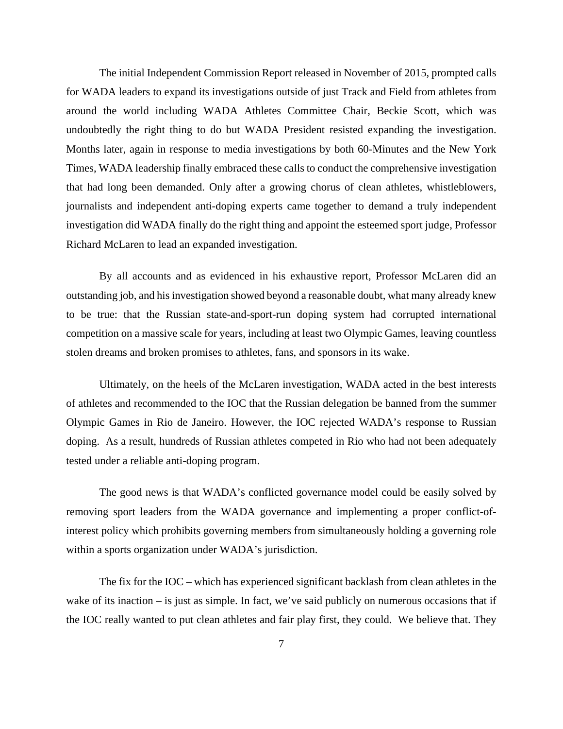The initial Independent Commission Report released in November of 2015, prompted calls for WADA leaders to expand its investigations outside of just Track and Field from athletes from around the world including WADA Athletes Committee Chair, Beckie Scott, which was undoubtedly the right thing to do but WADA President resisted expanding the investigation. Months later, again in response to media investigations by both 60-Minutes and the New York Times, WADA leadership finally embraced these calls to conduct the comprehensive investigation that had long been demanded. Only after a growing chorus of clean athletes, whistleblowers, journalists and independent anti-doping experts came together to demand a truly independent investigation did WADA finally do the right thing and appoint the esteemed sport judge, Professor Richard McLaren to lead an expanded investigation.

By all accounts and as evidenced in his exhaustive report, Professor McLaren did an outstanding job, and his investigation showed beyond a reasonable doubt, what many already knew to be true: that the Russian state-and-sport-run doping system had corrupted international competition on a massive scale for years, including at least two Olympic Games, leaving countless stolen dreams and broken promises to athletes, fans, and sponsors in its wake.

Ultimately, on the heels of the McLaren investigation, WADA acted in the best interests of athletes and recommended to the IOC that the Russian delegation be banned from the summer Olympic Games in Rio de Janeiro. However, the IOC rejected WADA's response to Russian doping. As a result, hundreds of Russian athletes competed in Rio who had not been adequately tested under a reliable anti-doping program.

The good news is that WADA's conflicted governance model could be easily solved by removing sport leaders from the WADA governance and implementing a proper conflict-ofinterest policy which prohibits governing members from simultaneously holding a governing role within a sports organization under WADA's jurisdiction.

The fix for the IOC – which has experienced significant backlash from clean athletes in the wake of its inaction – is just as simple. In fact, we've said publicly on numerous occasions that if the IOC really wanted to put clean athletes and fair play first, they could. We believe that. They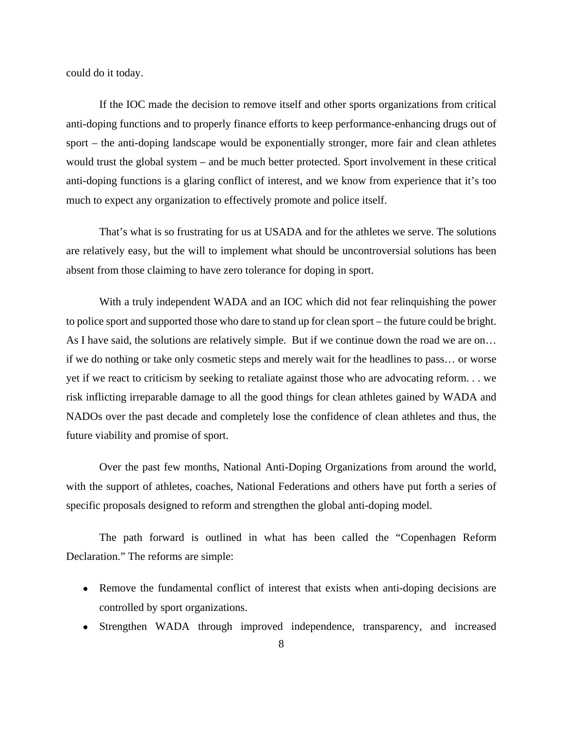could do it today.

If the IOC made the decision to remove itself and other sports organizations from critical anti-doping functions and to properly finance efforts to keep performance-enhancing drugs out of sport – the anti-doping landscape would be exponentially stronger, more fair and clean athletes would trust the global system – and be much better protected. Sport involvement in these critical anti-doping functions is a glaring conflict of interest, and we know from experience that it's too much to expect any organization to effectively promote and police itself.

That's what is so frustrating for us at USADA and for the athletes we serve. The solutions are relatively easy, but the will to implement what should be uncontroversial solutions has been absent from those claiming to have zero tolerance for doping in sport.

With a truly independent WADA and an IOC which did not fear relinquishing the power to police sport and supported those who dare to stand up for clean sport – the future could be bright. As I have said, the solutions are relatively simple. But if we continue down the road we are on… if we do nothing or take only cosmetic steps and merely wait for the headlines to pass… or worse yet if we react to criticism by seeking to retaliate against those who are advocating reform. . . we risk inflicting irreparable damage to all the good things for clean athletes gained by WADA and NADOs over the past decade and completely lose the confidence of clean athletes and thus, the future viability and promise of sport.

Over the past few months, National Anti-Doping Organizations from around the world, with the support of athletes, coaches, National Federations and others have put forth a series of specific proposals designed to reform and strengthen the global anti-doping model.

The path forward is outlined in what has been called the "Copenhagen Reform Declaration." The reforms are simple:

- Remove the fundamental conflict of interest that exists when anti-doping decisions are controlled by sport organizations.
- Strengthen WADA through improved independence, transparency, and increased